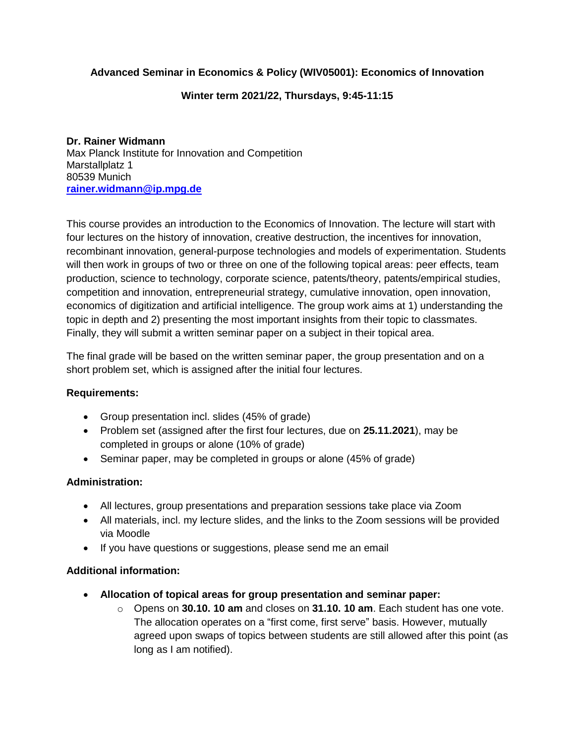# **[Advanced Seminar in Economics & Policy \(WIV05001\): Economics of Innovation](https://campus.tum.de/tumonline/pl/ui/$ctx;design=pl;header=max;lang=de/LV.edit?clvnr=950570114)**

## **Winter term 2021/22, Thursdays, 9:45-11:15**

**Dr. Rainer Widmann** Max Planck Institute for Innovation and Competition Marstallplatz 1 80539 Munich **[rainer.widmann@ip.mpg.de](mailto:rainer.widmann@ip.mpg.de)**

This course provides an introduction to the Economics of Innovation. The lecture will start with four lectures on the history of innovation, creative destruction, the incentives for innovation, recombinant innovation, general-purpose technologies and models of experimentation. Students will then work in groups of two or three on one of the following topical areas: peer effects, team production, science to technology, corporate science, patents/theory, patents/empirical studies, competition and innovation, entrepreneurial strategy, cumulative innovation, open innovation, economics of digitization and artificial intelligence. The group work aims at 1) understanding the topic in depth and 2) presenting the most important insights from their topic to classmates. Finally, they will submit a written seminar paper on a subject in their topical area.

The final grade will be based on the written seminar paper, the group presentation and on a short problem set, which is assigned after the initial four lectures.

### **Requirements:**

- Group presentation incl. slides (45% of grade)
- Problem set (assigned after the first four lectures, due on **25.11.2021**), may be completed in groups or alone (10% of grade)
- Seminar paper, may be completed in groups or alone (45% of grade)

### **Administration:**

- All lectures, group presentations and preparation sessions take place via Zoom
- All materials, incl. my lecture slides, and the links to the Zoom sessions will be provided via Moodle
- If you have questions or suggestions, please send me an email

# **Additional information:**

- **Allocation of topical areas for group presentation and seminar paper:**
	- o Opens on **30.10. 10 am** and closes on **31.10. 10 am**. Each student has one vote. The allocation operates on a "first come, first serve" basis. However, mutually agreed upon swaps of topics between students are still allowed after this point (as long as I am notified).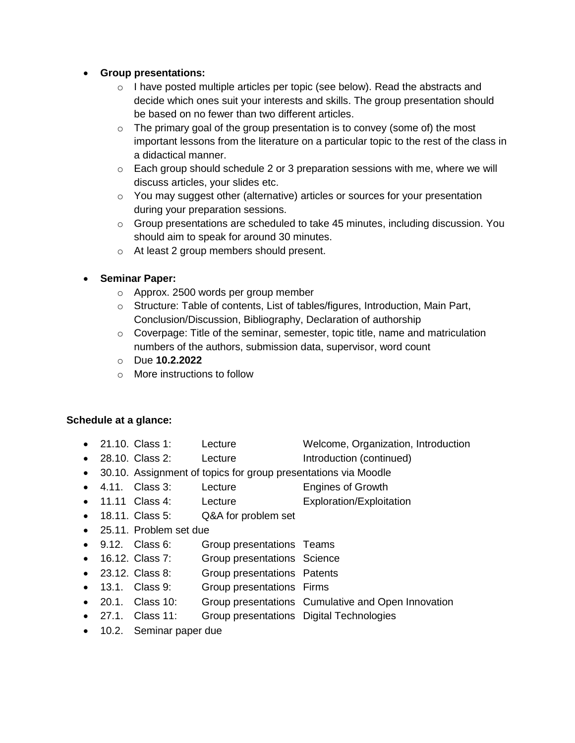## **Group presentations:**

- o I have posted multiple articles per topic (see below). Read the abstracts and decide which ones suit your interests and skills. The group presentation should be based on no fewer than two different articles.
- $\circ$  The primary goal of the group presentation is to convey (some of) the most important lessons from the literature on a particular topic to the rest of the class in a didactical manner.
- $\circ$  Each group should schedule 2 or 3 preparation sessions with me, where we will discuss articles, your slides etc.
- o You may suggest other (alternative) articles or sources for your presentation during your preparation sessions.
- $\circ$  Group presentations are scheduled to take 45 minutes, including discussion. You should aim to speak for around 30 minutes.
- o At least 2 group members should present.

# **Seminar Paper:**

- o Approx. 2500 words per group member
- $\circ$  Structure: Table of contents, List of tables/figures, Introduction, Main Part, Conclusion/Discussion, Bibliography, Declaration of authorship
- $\circ$  Coverpage: Title of the seminar, semester, topic title, name and matriculation numbers of the authors, submission data, supervisor, word count
- o Due **10.2.2022**
- o More instructions to follow

# **Schedule at a glance:**

- 21.10. Class 1: Lecture Welcome, Organization, Introduction
- 28.10. Class 2: Lecture Introduction (continued)
- 30.10. Assignment of topics for group presentations via Moodle
- 4.11. Class 3: Lecture Engines of Growth
- 11.11 Class 4: Lecture Exploration/Exploitation
- 18.11. Class 5: Q&A for problem set
- 25.11. Problem set due
- 9.12. Class 6: Group presentations Teams
- 16.12. Class 7: Group presentations Science
- 23.12. Class 8: Group presentations Patents
- 13.1. Class 9: Group presentations Firms
- 20.1. Class 10: Group presentations Cumulative and Open Innovation
- 27.1. Class 11: Group presentations Digital Technologies
- 10.2. Seminar paper due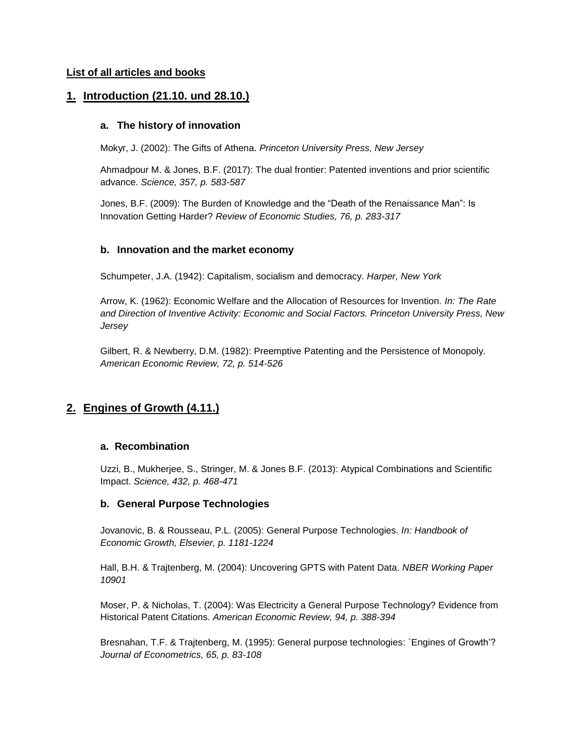#### **List of all articles and books**

## **1. Introduction (21.10. und 28.10.)**

#### **a. The history of innovation**

Mokyr, J. (2002): The Gifts of Athena. *Princeton University Press, New Jersey*

Ahmadpour M. & Jones, B.F. (2017): The dual frontier: Patented inventions and prior scientific advance. *Science, 357, p. 583-587*

Jones, B.F. (2009): The Burden of Knowledge and the "Death of the Renaissance Man": Is Innovation Getting Harder? *Review of Economic Studies, 76, p. 283-317*

#### **b. Innovation and the market economy**

Schumpeter, J.A. (1942): Capitalism, socialism and democracy. *Harper, New York*

Arrow, K. (1962): Economic Welfare and the Allocation of Resources for Invention. *In: The Rate and Direction of Inventive Activity: Economic and Social Factors. Princeton University Press, New Jersey*

Gilbert, R. & Newberry, D.M. (1982): Preemptive Patenting and the Persistence of Monopoly. *American Economic Review, 72, p. 514-526*

# **2. Engines of Growth (4.11.)**

#### **a. Recombination**

Uzzi, B., Mukherjee, S., Stringer, M. & Jones B.F. (2013): Atypical Combinations and Scientific Impact. *Science, 432, p. 468-471*

#### **b. General Purpose Technologies**

Jovanovic, B. & Rousseau, P.L. (2005): General Purpose Technologies. *In: Handbook of Economic Growth, Elsevier, p. 1181-1224*

Hall, B.H. & Trajtenberg, M. (2004): Uncovering GPTS with Patent Data. *NBER Working Paper 10901*

Moser, P. & Nicholas, T. (2004): Was Electricity a General Purpose Technology? Evidence from Historical Patent Citations. *American Economic Review, 94, p. 388-394*

Bresnahan, T.F. & Trajtenberg, M. (1995): General purpose technologies: `Engines of Growth'? *Journal of Econometrics, 65, p. 83-108*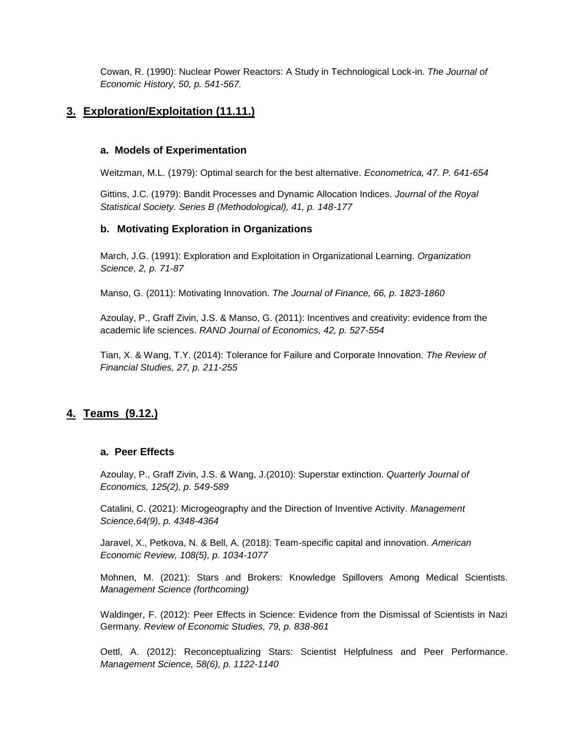Cowan, R. (1990): Nuclear Power Reactors: A Study in Technological Lock-in. *The Journal of Economic History, 50, p. 541-567.*

# **3. Exploration/Exploitation (11.11.)**

#### **a. Models of Experimentation**

Weitzman, M.L. (1979): Optimal search for the best alternative. *Econometrica, 47. P. 641-654*

Gittins, J.C. (1979): Bandit Processes and Dynamic Allocation Indices. *Journal of the Royal Statistical Society. Series B (Methodological), 41, p. 148-177*

### **b. Motivating Exploration in Organizations**

March, J.G. (1991): Exploration and Exploitation in Organizational Learning. *Organization Science, 2, p. 71-87*

Manso, G. (2011): Motivating Innovation. *The Journal of Finance, 66, p. 1823-1860*

Azoulay, P., Graff Zivin, J.S. & Manso, G. (2011): Incentives and creativity: evidence from the academic life sciences. *RAND Journal of Economics, 42, p. 527-554*

Tian, X. & Wang, T.Y. (2014): Tolerance for Failure and Corporate Innovation. *The Review of Financial Studies, 27, p. 211-255*

# **4. Teams (9.12.)**

#### **a. Peer Effects**

Azoulay, P., Graff Zivin, J.S. & Wang, J.(2010): Superstar extinction. *Quarterly Journal of Economics, 125(2), p. 549-589*

Catalini, C. (2021): Microgeography and the Direction of Inventive Activity. *Management Science,64(9), p. 4348-4364*

Jaravel, X., Petkova, N. & Bell, A. (2018): Team-specific capital and innovation. *American Economic Review, 108(5), p. 1034-1077*

Mohnen, M. (2021): Stars and Brokers: Knowledge Spillovers Among Medical Scientists. *Management Science (forthcoming)*

Waldinger, F. (2012): Peer Effects in Science: Evidence from the Dismissal of Scientists in Nazi Germany. *Review of Economic Studies, 79, p. 838-861*

Oettl, A. (2012): Reconceptualizing Stars: Scientist Helpfulness and Peer Performance. *Management Science, 58(6), p. 1122-1140*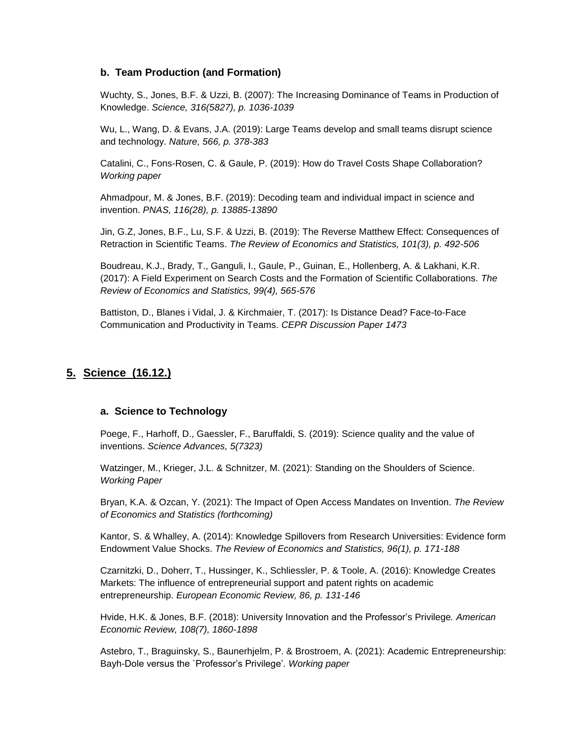### **b. Team Production (and Formation)**

Wuchty, S., Jones, B.F. & Uzzi, B. (2007): The Increasing Dominance of Teams in Production of Knowledge. *Science, 316(5827), p. 1036-1039*

Wu, L., Wang, D. & Evans, J.A. (2019): Large Teams develop and small teams disrupt science and technology. *Nature, 566, p. 378-383*

Catalini, C., Fons-Rosen, C. & Gaule, P. (2019): How do Travel Costs Shape Collaboration? *Working paper*

Ahmadpour, M. & Jones, B.F. (2019): Decoding team and individual impact in science and invention. *PNAS, 116(28), p. 13885-13890* 

Jin, G.Z, Jones, B.F., Lu, S.F. & Uzzi, B. (2019): The Reverse Matthew Effect: Consequences of Retraction in Scientific Teams. *The Review of Economics and Statistics, 101(3), p. 492-506*

Boudreau, K.J., Brady, T., Ganguli, I., Gaule, P., Guinan, E., Hollenberg, A. & Lakhani, K.R. (2017): A Field Experiment on Search Costs and the Formation of Scientific Collaborations. *The Review of Economics and Statistics, 99(4), 565-576*

Battiston, D., Blanes i Vidal, J. & Kirchmaier, T. (2017): Is Distance Dead? Face-to-Face Communication and Productivity in Teams. *CEPR Discussion Paper 1473*

### **5. Science (16.12.)**

#### **a. Science to Technology**

Poege, F., Harhoff, D., Gaessler, F., Baruffaldi, S. (2019): Science quality and the value of inventions. *Science Advances, 5(7323)*

Watzinger, M., Krieger, J.L. & Schnitzer, M. (2021): Standing on the Shoulders of Science. *Working Paper*

Bryan, K.A. & Ozcan, Y. (2021): The Impact of Open Access Mandates on Invention. *The Review of Economics and Statistics (forthcoming)*

Kantor, S. & Whalley, A. (2014): Knowledge Spillovers from Research Universities: Evidence form Endowment Value Shocks. *The Review of Economics and Statistics, 96(1), p. 171-188*

Czarnitzki, D., Doherr, T., Hussinger, K., Schliessler, P. & Toole, A. (2016): Knowledge Creates Markets: The influence of entrepreneurial support and patent rights on academic entrepreneurship. *European Economic Review, 86, p. 131-146*

Hvide, H.K. & Jones, B.F. (2018): University Innovation and the Professor's Privilege*. American Economic Review, 108(7), 1860-1898*

Astebro, T., Braguinsky, S., Baunerhjelm, P. & Brostroem, A. (2021): Academic Entrepreneurship: Bayh-Dole versus the `Professor's Privilege'. *Working paper*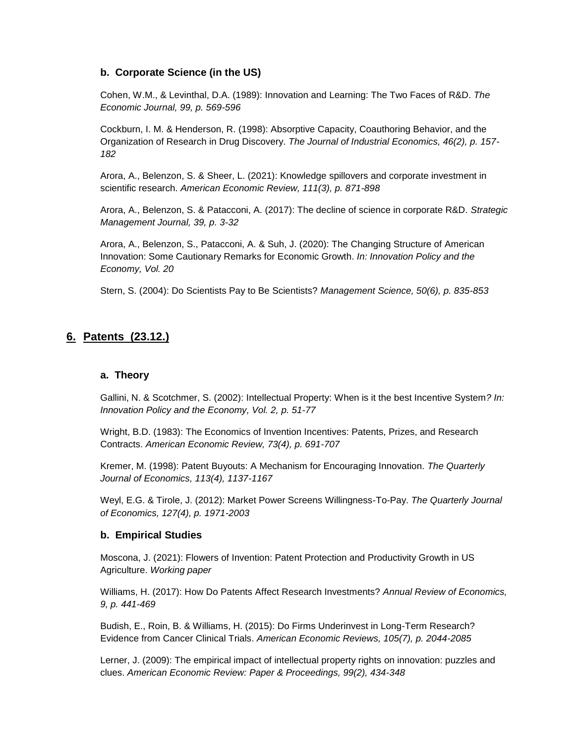### **b. Corporate Science (in the US)**

Cohen, W.M., & Levinthal, D.A. (1989): Innovation and Learning: The Two Faces of R&D. *The Economic Journal, 99, p. 569-596*

Cockburn, I. M. & Henderson, R. (1998): Absorptive Capacity, Coauthoring Behavior, and the Organization of Research in Drug Discovery. *The Journal of Industrial Economics, 46(2), p. 157- 182*

Arora, A., Belenzon, S. & Sheer, L. (2021): Knowledge spillovers and corporate investment in scientific research. *American Economic Review, 111(3), p. 871-898*

Arora, A., Belenzon, S. & Patacconi, A. (2017): The decline of science in corporate R&D. *Strategic Management Journal, 39, p. 3-32*

Arora, A., Belenzon, S., Patacconi, A. & Suh, J. (2020): The Changing Structure of American Innovation: Some Cautionary Remarks for Economic Growth. *In: Innovation Policy and the Economy, Vol. 20*

Stern, S. (2004): Do Scientists Pay to Be Scientists? *Management Science, 50(6), p. 835-853*

## **6. Patents (23.12.)**

#### **a. Theory**

Gallini, N. & Scotchmer, S. (2002): Intellectual Property: When is it the best Incentive System*? In: Innovation Policy and the Economy, Vol. 2, p. 51-77*

Wright, B.D. (1983): The Economics of Invention Incentives: Patents, Prizes, and Research Contracts. *American Economic Review, 73(4), p. 691-707*

Kremer, M. (1998): Patent Buyouts: A Mechanism for Encouraging Innovation. *The Quarterly Journal of Economics, 113(4), 1137-1167*

Weyl, E.G. & Tirole, J. (2012): Market Power Screens Willingness-To-Pay. *The Quarterly Journal of Economics, 127(4), p. 1971-2003*

#### **b. Empirical Studies**

Moscona, J. (2021): Flowers of Invention: Patent Protection and Productivity Growth in US Agriculture. *Working paper*

Williams, H. (2017): How Do Patents Affect Research Investments? *Annual Review of Economics, 9, p. 441-469*

Budish, E., Roin, B. & Williams, H. (2015): Do Firms Underinvest in Long-Term Research? Evidence from Cancer Clinical Trials. *American Economic Reviews, 105(7), p. 2044-2085*

Lerner, J. (2009): The empirical impact of intellectual property rights on innovation: puzzles and clues. *American Economic Review: Paper & Proceedings, 99(2), 434-348*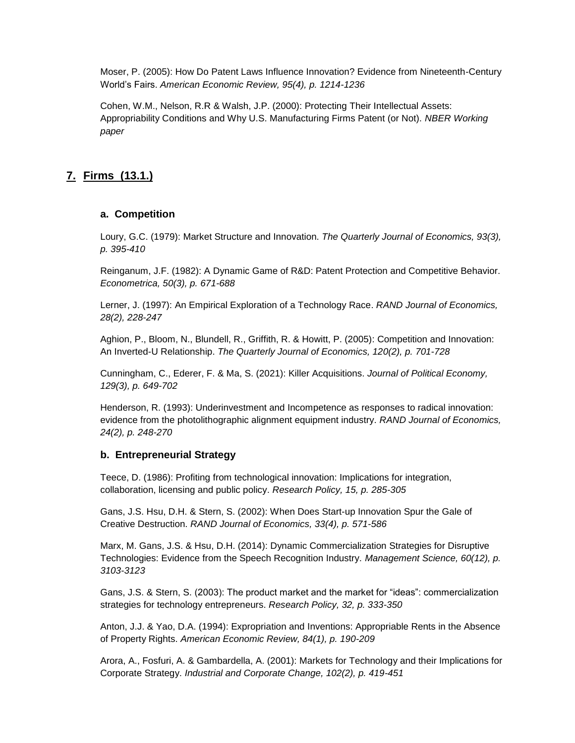Moser, P. (2005): How Do Patent Laws Influence Innovation? Evidence from Nineteenth-Century World's Fairs. *American Economic Review, 95(4), p. 1214-1236*

Cohen, W.M., Nelson, R.R & Walsh, J.P. (2000): Protecting Their Intellectual Assets: Appropriability Conditions and Why U.S. Manufacturing Firms Patent (or Not). *NBER Working paper*

# **7. Firms (13.1.)**

### **a. Competition**

Loury, G.C. (1979): Market Structure and Innovation. *The Quarterly Journal of Economics, 93(3), p. 395-410*

Reinganum, J.F. (1982): A Dynamic Game of R&D: Patent Protection and Competitive Behavior. *Econometrica, 50(3), p. 671-688*

Lerner, J. (1997): An Empirical Exploration of a Technology Race. *RAND Journal of Economics, 28(2), 228-247*

Aghion, P., Bloom, N., Blundell, R., Griffith, R. & Howitt, P. (2005): Competition and Innovation: An Inverted-U Relationship. *The Quarterly Journal of Economics, 120(2), p. 701-728*

Cunningham, C., Ederer, F. & Ma, S. (2021): Killer Acquisitions. *Journal of Political Economy, 129(3), p. 649-702*

Henderson, R. (1993): Underinvestment and Incompetence as responses to radical innovation: evidence from the photolithographic alignment equipment industry. *RAND Journal of Economics, 24(2), p. 248-270*

### **b. Entrepreneurial Strategy**

Teece, D. (1986): Profiting from technological innovation: Implications for integration, collaboration, licensing and public policy. *Research Policy, 15, p. 285-305*

Gans, J.S. Hsu, D.H. & Stern, S. (2002): When Does Start-up Innovation Spur the Gale of Creative Destruction. *RAND Journal of Economics, 33(4), p. 571-586*

Marx, M. Gans, J.S. & Hsu, D.H. (2014): Dynamic Commercialization Strategies for Disruptive Technologies: Evidence from the Speech Recognition Industry. *Management Science, 60(12), p. 3103-3123*

Gans, J.S. & Stern, S. (2003): The product market and the market for "ideas": commercialization strategies for technology entrepreneurs. *Research Policy, 32, p. 333-350*

Anton, J.J. & Yao, D.A. (1994): Expropriation and Inventions: Appropriable Rents in the Absence of Property Rights. *American Economic Review, 84(1), p. 190-209*

Arora, A., Fosfuri, A. & Gambardella, A. (2001): Markets for Technology and their Implications for Corporate Strategy. *Industrial and Corporate Change, 102(2), p. 419-451*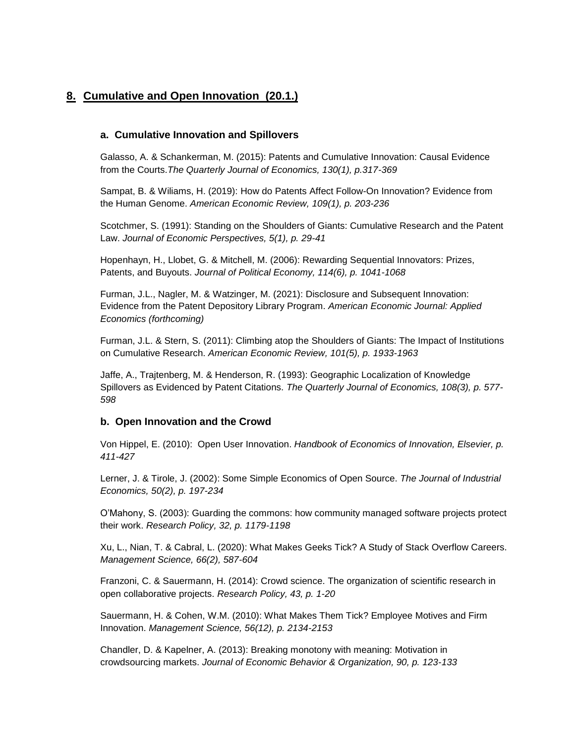# **8. Cumulative and Open Innovation (20.1.)**

#### **a. Cumulative Innovation and Spillovers**

Galasso, A. & Schankerman, M. (2015): Patents and Cumulative Innovation: Causal Evidence from the Courts.*The Quarterly Journal of Economics, 130(1), p.317-369*

Sampat, B. & Wiliams, H. (2019): How do Patents Affect Follow-On Innovation? Evidence from the Human Genome. *American Economic Review, 109(1), p. 203-236*

Scotchmer, S. (1991): Standing on the Shoulders of Giants: Cumulative Research and the Patent Law. *Journal of Economic Perspectives, 5(1), p. 29-41*

Hopenhayn, H., Llobet, G. & Mitchell, M. (2006): Rewarding Sequential Innovators: Prizes, Patents, and Buyouts. *Journal of Political Economy, 114(6), p. 1041-1068*

Furman, J.L., Nagler, M. & Watzinger, M. (2021): Disclosure and Subsequent Innovation: Evidence from the Patent Depository Library Program. *American Economic Journal: Applied Economics (forthcoming)*

Furman, J.L. & Stern, S. (2011): Climbing atop the Shoulders of Giants: The Impact of Institutions on Cumulative Research. *American Economic Review, 101(5), p. 1933-1963*

Jaffe, A., Trajtenberg, M. & Henderson, R. (1993): Geographic Localization of Knowledge Spillovers as Evidenced by Patent Citations. *The Quarterly Journal of Economics, 108(3), p. 577- 598*

#### **b. Open Innovation and the Crowd**

Von Hippel, E. (2010): Open User Innovation. *Handbook of Economics of Innovation, Elsevier, p. 411-427*

Lerner, J. & Tirole, J. (2002): Some Simple Economics of Open Source. *The Journal of Industrial Economics, 50(2), p. 197-234*

O'Mahony, S. (2003): Guarding the commons: how community managed software projects protect their work. *Research Policy, 32, p. 1179-1198*

Xu, L., Nian, T. & Cabral, L. (2020): What Makes Geeks Tick? A Study of Stack Overflow Careers. *Management Science, 66(2), 587-604*

Franzoni, C. & Sauermann, H. (2014): Crowd science. The organization of scientific research in open collaborative projects. *Research Policy, 43, p. 1-20*

Sauermann, H. & Cohen, W.M. (2010): What Makes Them Tick? Employee Motives and Firm Innovation. *Management Science, 56(12), p. 2134-2153*

Chandler, D. & Kapelner, A. (2013): Breaking monotony with meaning: Motivation in crowdsourcing markets. *Journal of Economic Behavior & Organization, 90, p. 123-133*